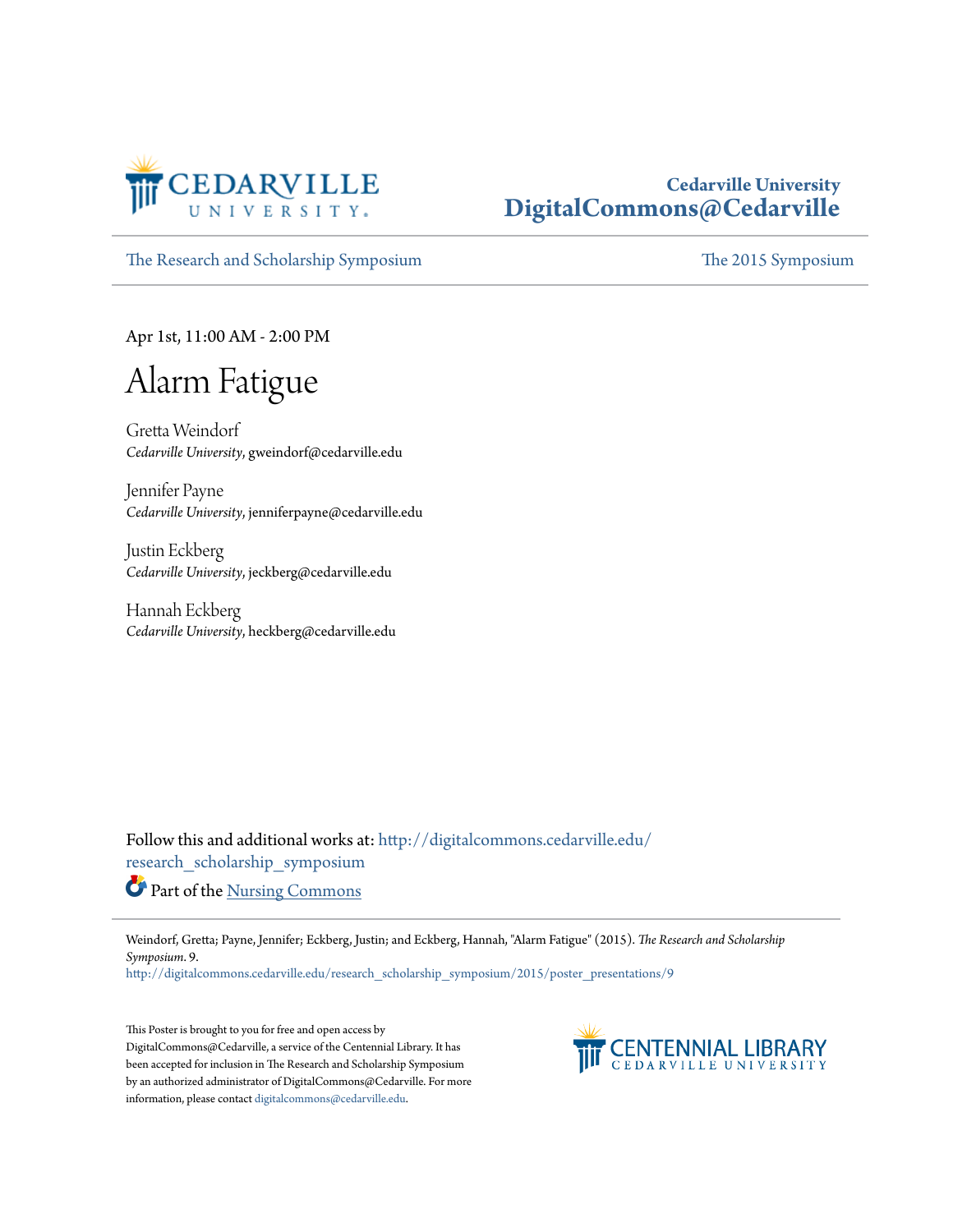

#### **Cedarville University [DigitalCommons@Cedarville](http://digitalcommons.cedarville.edu?utm_source=digitalcommons.cedarville.edu%2Fresearch_scholarship_symposium%2F2015%2Fposter_presentations%2F9&utm_medium=PDF&utm_campaign=PDFCoverPages)**

[The Research and Scholarship Symposium](http://digitalcommons.cedarville.edu/research_scholarship_symposium?utm_source=digitalcommons.cedarville.edu%2Fresearch_scholarship_symposium%2F2015%2Fposter_presentations%2F9&utm_medium=PDF&utm_campaign=PDFCoverPages) [The 2015 Symposium](http://digitalcommons.cedarville.edu/research_scholarship_symposium/2015?utm_source=digitalcommons.cedarville.edu%2Fresearch_scholarship_symposium%2F2015%2Fposter_presentations%2F9&utm_medium=PDF&utm_campaign=PDFCoverPages)

Apr 1st, 11:00 AM - 2:00 PM

#### Alarm Fatigue

Gretta Weindorf *Cedarville University*, gweindorf@cedarville.edu

Jennifer Payne *Cedarville University*, jenniferpayne@cedarville.edu

Justin Eckberg *Cedarville University*, jeckberg@cedarville.edu

Hannah Eckberg *Cedarville University*, heckberg@cedarville.edu

Follow this and additional works at: [http://digitalcommons.cedarville.edu/](http://digitalcommons.cedarville.edu/research_scholarship_symposium?utm_source=digitalcommons.cedarville.edu%2Fresearch_scholarship_symposium%2F2015%2Fposter_presentations%2F9&utm_medium=PDF&utm_campaign=PDFCoverPages) [research\\_scholarship\\_symposium](http://digitalcommons.cedarville.edu/research_scholarship_symposium?utm_source=digitalcommons.cedarville.edu%2Fresearch_scholarship_symposium%2F2015%2Fposter_presentations%2F9&utm_medium=PDF&utm_campaign=PDFCoverPages)

Part of the [Nursing Commons](http://network.bepress.com/hgg/discipline/718?utm_source=digitalcommons.cedarville.edu%2Fresearch_scholarship_symposium%2F2015%2Fposter_presentations%2F9&utm_medium=PDF&utm_campaign=PDFCoverPages)

Weindorf, Gretta; Payne, Jennifer; Eckberg, Justin; and Eckberg, Hannah, "Alarm Fatigue" (2015). *The Research and Scholarship Symposium*. 9.

[http://digitalcommons.cedarville.edu/research\\_scholarship\\_symposium/2015/poster\\_presentations/9](http://digitalcommons.cedarville.edu/research_scholarship_symposium/2015/poster_presentations/9?utm_source=digitalcommons.cedarville.edu%2Fresearch_scholarship_symposium%2F2015%2Fposter_presentations%2F9&utm_medium=PDF&utm_campaign=PDFCoverPages)

This Poster is brought to you for free and open access by DigitalCommons@Cedarville, a service of the Centennial Library. It has been accepted for inclusion in The Research and Scholarship Symposium by an authorized administrator of DigitalCommons@Cedarville. For more information, please contact [digitalcommons@cedarville.edu.](mailto:digitalcommons@cedarville.edu)